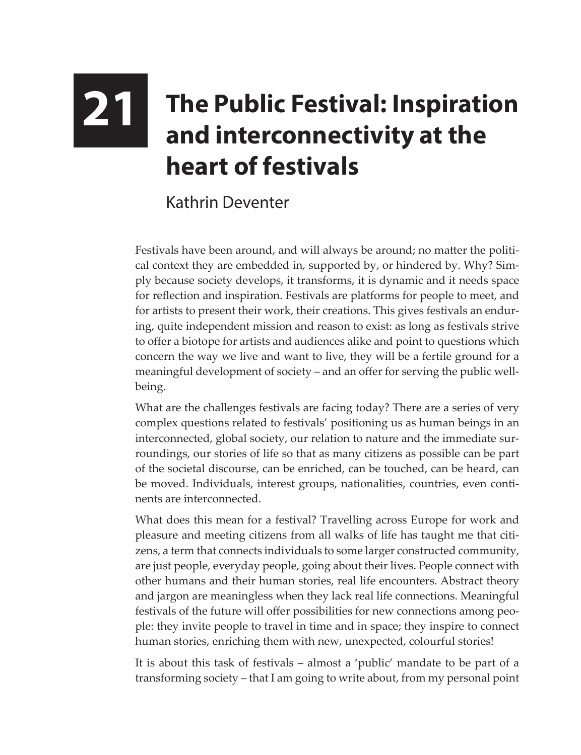## **21 The Public Festival: Inspiration and interconnectivity at the heart of festivals**

## Kathrin Deventer

Festivals have been around, and will always be around; no matter the political context they are embedded in, supported by, or hindered by. Why? Simply because society develops, it transforms, it is dynamic and it needs space for reflection and inspiration. Festivals are platforms for people to meet, and for artists to present their work, their creations. This gives festivals an enduring, quite independent mission and reason to exist: as long as festivals strive to offer a biotope for artists and audiences alike and point to questions which concern the way we live and want to live, they will be a fertile ground for a meaningful development of society – and an offer for serving the public wellbeing.

What are the challenges festivals are facing today? There are a series of very complex questions related to festivals' positioning us as human beings in an interconnected, global society, our relation to nature and the immediate surroundings, our stories of life so that as many citizens as possible can be part of the societal discourse, can be enriched, can be touched, can be heard, can be moved. Individuals, interest groups, nationalities, countries, even continents are interconnected.

What does this mean for a festival? Travelling across Europe for work and pleasure and meeting citizens from all walks of life has taught me that citizens, a term that connects individuals to some larger constructed community, are just people, everyday people, going about their lives. People connect with other humans and their human stories, real life encounters. Abstract theory and jargon are meaningless when they lack real life connections. Meaningful festivals of the future will offer possibilities for new connections among people: they invite people to travel in time and in space; they inspire to connect human stories, enriching them with new, unexpected, colourful stories!

It is about this task of festivals – almost a 'public' mandate to be part of a transforming society – that I am going to write about, from my personal point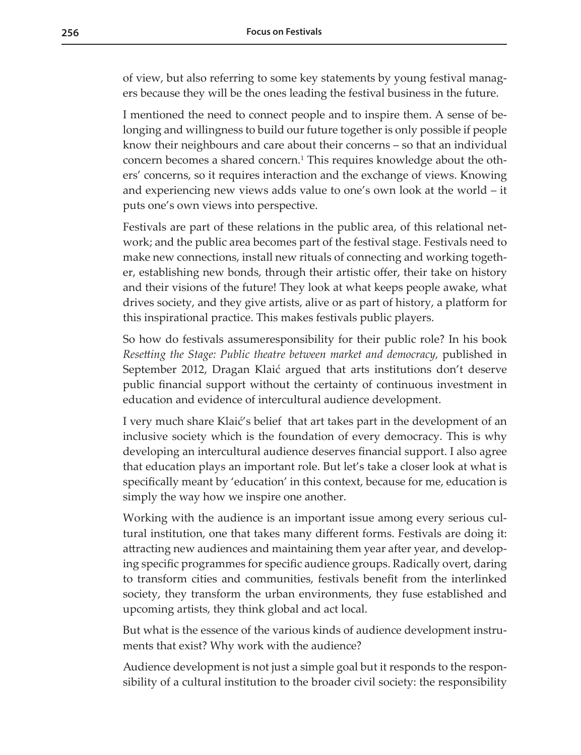of view, but also referring to some key statements by young festival managers because they will be the ones leading the festival business in the future.

I mentioned the need to connect people and to inspire them. A sense of belonging and willingness to build our future together is only possible if people know their neighbours and care about their concerns – so that an individual concern becomes a shared concern.<sup>1</sup> This requires knowledge about the others' concerns, so it requires interaction and the exchange of views. Knowing and experiencing new views adds value to one's own look at the world – it puts one's own views into perspective.

Festivals are part of these relations in the public area, of this relational network; and the public area becomes part of the festival stage. Festivals need to make new connections, install new rituals of connecting and working together, establishing new bonds, through their artistic offer, their take on history and their visions of the future! They look at what keeps people awake, what drives society, and they give artists, alive or as part of history, a platform for this inspirational practice. This makes festivals public players.

So how do festivals assumeresponsibility for their public role? In his book *Resetting the Stage: Public theatre between market and democracy,* published in September 2012, Dragan Klaić argued that arts institutions don't deserve public financial support without the certainty of continuous investment in education and evidence of intercultural audience development.

I very much share Klaić's belief that art takes part in the development of an inclusive society which is the foundation of every democracy. This is why developing an intercultural audience deserves financial support. I also agree that education plays an important role. But let's take a closer look at what is specifically meant by 'education' in this context, because for me, education is simply the way how we inspire one another.

Working with the audience is an important issue among every serious cultural institution, one that takes many different forms. Festivals are doing it: attracting new audiences and maintaining them year after year, and developing specific programmes for specific audience groups. Radically overt, daring to transform cities and communities, festivals benefit from the interlinked society, they transform the urban environments, they fuse established and upcoming artists, they think global and act local.

But what is the essence of the various kinds of audience development instruments that exist? Why work with the audience?

Audience development is not just a simple goal but it responds to the responsibility of a cultural institution to the broader civil society: the responsibility